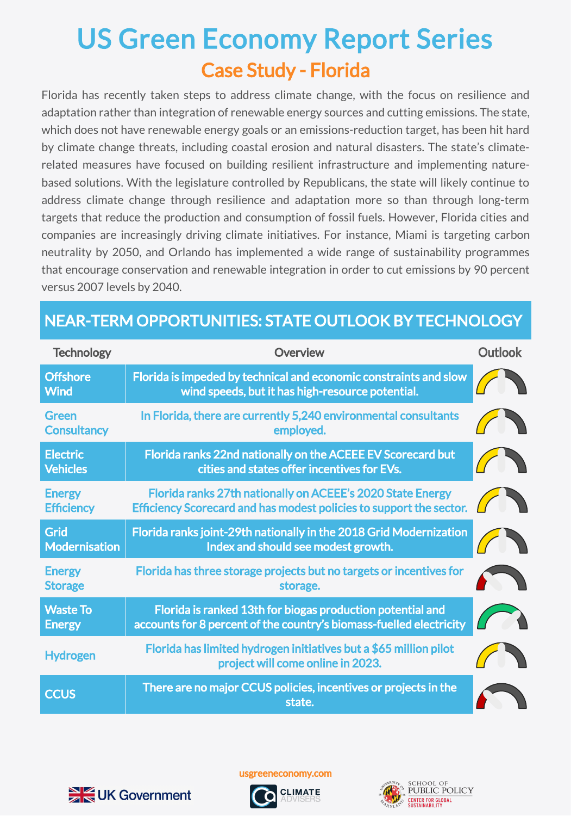## Case Study - Florida US Green Economy Report Series

Florida has recently taken steps to address climate change, with the focus on resilience and adaptation rather than integration of renewable energy sources and cutting emissions. The state, which does not have renewable energy goals or an emissions-reduction target, has been hit hard by climate change threats, including coastal erosion and natural disasters. The state's climaterelated measures have focused on building resilient infrastructure and implementing naturebased solutions. With the legislature controlled by Republicans, the state will likely continue to address climate change through resilience and adaptation more so than through long-term targets that reduce the production and consumption of fossil fuels. However, Florida cities and companies are increasingly driving climate initiatives. For instance, Miami is targeting carbon neutrality by 2050, and Orlando has implemented a wide range of sustainability programmes that encourage conservation and renewable integration in order to cut emissions by 90 percent versus 2007 levels by 2040.

## NEAR-TERM OPPORTUNITIES: STATE OUTLOOK BY TECHNOLOGY

| <b>Technology</b>                  | <b>Overview</b>                                                                                                                   | <b>Outlook</b> |
|------------------------------------|-----------------------------------------------------------------------------------------------------------------------------------|----------------|
| <b>Offshore</b><br><b>Wind</b>     | Florida is impeded by technical and economic constraints and slow<br>wind speeds, but it has high-resource potential.             |                |
| Green<br><b>Consultancy</b>        | In Florida, there are currently 5,240 environmental consultants<br>employed.                                                      |                |
| <b>Electric</b><br><b>Vehicles</b> | Florida ranks 22nd nationally on the ACEEE EV Scorecard but<br>cities and states offer incentives for EVs.                        |                |
| <b>Energy</b><br><b>Efficiency</b> | Florida ranks 27th nationally on ACEEE's 2020 State Energy<br>Efficiency Scorecard and has modest policies to support the sector. |                |
| Grid<br>Modernisation              | Florida ranks joint-29th nationally in the 2018 Grid Modernization<br>Index and should see modest growth.                         |                |
| <b>Energy</b><br><b>Storage</b>    | Florida has three storage projects but no targets or incentives for<br>storage.                                                   |                |
| <b>Waste To</b><br><b>Energy</b>   | Florida is ranked 13th for biogas production potential and<br>accounts for 8 percent of the country's biomass-fuelled electricity |                |
| <b>Hydrogen</b>                    | Florida has limited hydrogen initiatives but a \$65 million pilot<br>project will come online in 2023.                            |                |
| <b>CCUS</b>                        | There are no major CCUS policies, incentives or projects in the<br>state.                                                         |                |

usgreeneconomy.com